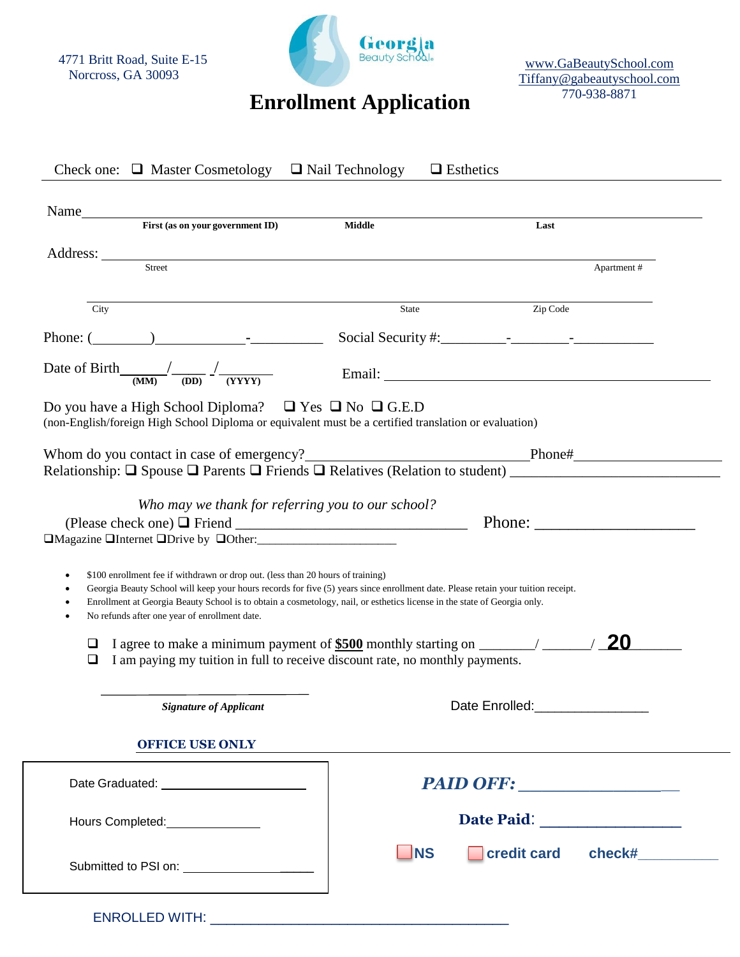4771 Britt Road, Suite E-15 Norcross, GA 30093



[www.GaBeautySchool.com](http://www.gabeautyschool.com/) [Tiffany@gabeautyschool.com](mailto:Tiffany@gabeautyschool.com) 770-938-8871

| Name<br>First (as on your government ID) Middle                                                                                                                                                                                                                                |       | Last                                                                                                                                                                                                                                                                                                               |
|--------------------------------------------------------------------------------------------------------------------------------------------------------------------------------------------------------------------------------------------------------------------------------|-------|--------------------------------------------------------------------------------------------------------------------------------------------------------------------------------------------------------------------------------------------------------------------------------------------------------------------|
|                                                                                                                                                                                                                                                                                |       |                                                                                                                                                                                                                                                                                                                    |
| Street                                                                                                                                                                                                                                                                         |       | Apartment#                                                                                                                                                                                                                                                                                                         |
|                                                                                                                                                                                                                                                                                |       |                                                                                                                                                                                                                                                                                                                    |
| City                                                                                                                                                                                                                                                                           | State | Zip Code                                                                                                                                                                                                                                                                                                           |
| Phone: $(\_\_)$                                                                                                                                                                                                                                                                |       | Social Security #: $\frac{1}{2}$ $\frac{1}{2}$ $\frac{1}{2}$ $\frac{1}{2}$ $\frac{1}{2}$ $\frac{1}{2}$ $\frac{1}{2}$ $\frac{1}{2}$ $\frac{1}{2}$ $\frac{1}{2}$ $\frac{1}{2}$ $\frac{1}{2}$ $\frac{1}{2}$ $\frac{1}{2}$ $\frac{1}{2}$ $\frac{1}{2}$ $\frac{1}{2}$ $\frac{1}{2}$ $\frac{1}{2}$ $\frac{1}{2}$ $\frac$ |
| Date of Birth $\frac{1}{(MM)}$ $\frac{1}{(DD)}$ $\frac{1}{(YYYY)}$                                                                                                                                                                                                             |       |                                                                                                                                                                                                                                                                                                                    |
| Do you have a High School Diploma? $\Box$ Yes $\Box$ No $\Box$ G.E.D<br>(non-English/foreign High School Diploma or equivalent must be a certified translation or evaluation)                                                                                                  |       |                                                                                                                                                                                                                                                                                                                    |
|                                                                                                                                                                                                                                                                                |       |                                                                                                                                                                                                                                                                                                                    |
|                                                                                                                                                                                                                                                                                |       |                                                                                                                                                                                                                                                                                                                    |
|                                                                                                                                                                                                                                                                                |       |                                                                                                                                                                                                                                                                                                                    |
|                                                                                                                                                                                                                                                                                |       |                                                                                                                                                                                                                                                                                                                    |
| Who may we thank for referring you to our school?                                                                                                                                                                                                                              |       |                                                                                                                                                                                                                                                                                                                    |
|                                                                                                                                                                                                                                                                                |       | Phone:                                                                                                                                                                                                                                                                                                             |
|                                                                                                                                                                                                                                                                                |       |                                                                                                                                                                                                                                                                                                                    |
| \$100 enrollment fee if withdrawn or drop out. (less than 20 hours of training)<br>٠                                                                                                                                                                                           |       |                                                                                                                                                                                                                                                                                                                    |
| Georgia Beauty School will keep your hours records for five (5) years since enrollment date. Please retain your tuition receipt.<br>$\bullet$<br>Enrollment at Georgia Beauty School is to obtain a cosmetology, nail, or esthetics license in the state of Georgia only.<br>٠ |       |                                                                                                                                                                                                                                                                                                                    |
| No refunds after one year of enrollment date.<br>٠                                                                                                                                                                                                                             |       |                                                                                                                                                                                                                                                                                                                    |
| ⊔                                                                                                                                                                                                                                                                              |       |                                                                                                                                                                                                                                                                                                                    |
| I am paying my tuition in full to receive discount rate, no monthly payments.<br>⊔                                                                                                                                                                                             |       |                                                                                                                                                                                                                                                                                                                    |
|                                                                                                                                                                                                                                                                                |       |                                                                                                                                                                                                                                                                                                                    |
| <b>Signature of Applicant</b>                                                                                                                                                                                                                                                  |       | Date Enrolled: ________________                                                                                                                                                                                                                                                                                    |
| <b>OFFICE USE ONLY</b>                                                                                                                                                                                                                                                         |       |                                                                                                                                                                                                                                                                                                                    |
|                                                                                                                                                                                                                                                                                |       | PAID OFF:                                                                                                                                                                                                                                                                                                          |
| □Magazine □Internet □Drive by □Other:<br>□Magazine □Internet □Drive by □Other:<br>Hours Completed: Management Completed:                                                                                                                                                       |       |                                                                                                                                                                                                                                                                                                                    |

ENROLLED WITH: \_\_\_\_\_\_\_\_\_\_\_\_\_\_\_\_\_\_\_\_\_\_\_\_\_\_\_\_\_\_\_\_\_\_\_\_\_